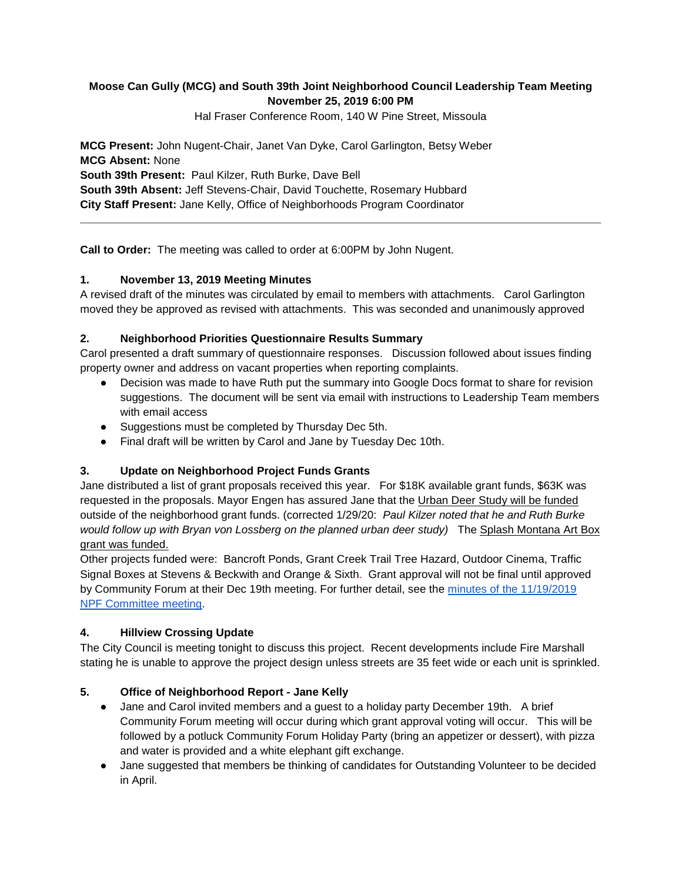# **Moose Can Gully (MCG) and South 39th Joint Neighborhood Council Leadership Team Meeting November 25, 2019 6:00 PM**

Hal Fraser Conference Room, 140 W Pine Street, Missoula

**MCG Present:** John Nugent-Chair, Janet Van Dyke, Carol Garlington, Betsy Weber **MCG Absent:** None **South 39th Present:** Paul Kilzer, Ruth Burke, Dave Bell **South 39th Absent:** Jeff Stevens-Chair, David Touchette, Rosemary Hubbard **City Staff Present:** Jane Kelly, Office of Neighborhoods Program Coordinator

**Call to Order:** The meeting was called to order at 6:00PM by John Nugent.

# **1. November 13, 2019 Meeting Minutes**

A revised draft of the minutes was circulated by email to members with attachments. Carol Garlington moved they be approved as revised with attachments. This was seconded and unanimously approved

#### **2. Neighborhood Priorities Questionnaire Results Summary**

Carol presented a draft summary of questionnaire responses. Discussion followed about issues finding property owner and address on vacant properties when reporting complaints.

- Decision was made to have Ruth put the summary into Google Docs format to share for revision suggestions. The document will be sent via email with instructions to Leadership Team members with email access
- Suggestions must be completed by Thursday Dec 5th.
- Final draft will be written by Carol and Jane by Tuesday Dec 10th.

# **3. Update on Neighborhood Project Funds Grants**

Jane distributed a list of grant proposals received this year. For \$18K available grant funds, \$63K was requested in the proposals. Mayor Engen has assured Jane that the Urban Deer Study will be funded outside of the neighborhood grant funds. (corrected 1/29/20: *Paul Kilzer noted that he and Ruth Burke would follow up with Bryan von Lossberg on the planned urban deer study)* The Splash Montana Art Box grant was funded.

Other projects funded were: Bancroft Ponds, Grant Creek Trail Tree Hazard, Outdoor Cinema, Traffic Signal Boxes at Stevens & Beckwith and Orange & Sixth. Grant approval will not be final until approved by Community Forum at their Dec 19th meeting. For further detail, see the [minutes of the 11/19/2019](http://www.ci.missoula.mt.us/ArchiveCenter/ViewFile/Item/14641)  [NPF Committee meeting.](http://www.ci.missoula.mt.us/ArchiveCenter/ViewFile/Item/14641)

# **4. Hillview Crossing Update**

The City Council is meeting tonight to discuss this project. Recent developments include Fire Marshall stating he is unable to approve the project design unless streets are 35 feet wide or each unit is sprinkled.

# **5. Office of Neighborhood Report - Jane Kelly**

- Jane and Carol invited members and a guest to a holiday party December 19th. A brief Community Forum meeting will occur during which grant approval voting will occur. This will be followed by a potluck Community Forum Holiday Party (bring an appetizer or dessert), with pizza and water is provided and a white elephant gift exchange.
- Jane suggested that members be thinking of candidates for Outstanding Volunteer to be decided in April.